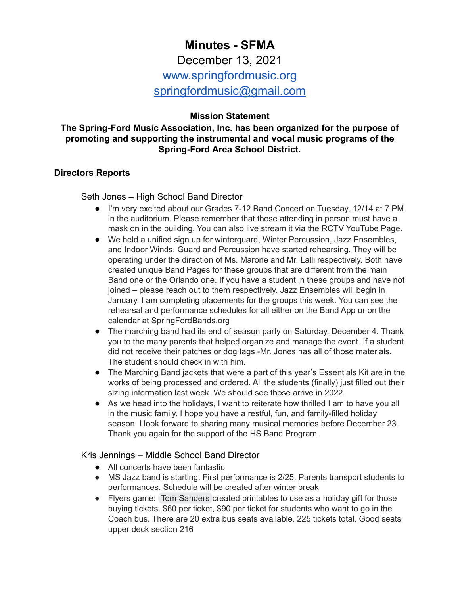# **Minutes - SFMA** December 13, 2021 www.springfordmusic.org [springfordmusic@gmail.com](mailto:springfordmusic@gmail.com)

## **Mission Statement**

#### **The Spring-Ford Music Association, Inc. has been organized for the purpose of promoting and supporting the instrumental and vocal music programs of the Spring-Ford Area School District.**

#### **Directors Reports**

Seth Jones – High School Band Director

- I'm very excited about our Grades 7-12 Band Concert on Tuesday, 12/14 at 7 PM in the auditorium. Please remember that those attending in person must have a mask on in the building. You can also live stream it via the RCTV YouTube Page.
- We held a unified sign up for winterguard, Winter Percussion, Jazz Ensembles, and Indoor Winds. Guard and Percussion have started rehearsing. They will be operating under the direction of Ms. Marone and Mr. Lalli respectively. Both have created unique Band Pages for these groups that are different from the main Band one or the Orlando one. If you have a student in these groups and have not joined – please reach out to them respectively. Jazz Ensembles will begin in January. I am completing placements for the groups this week. You can see the rehearsal and performance schedules for all either on the Band App or on the calendar at SpringFordBands.org
- The marching band had its end of season party on Saturday, December 4. Thank you to the many parents that helped organize and manage the event. If a student did not receive their patches or dog tags -Mr. Jones has all of those materials. The student should check in with him.
- The Marching Band jackets that were a part of this year's Essentials Kit are in the works of being processed and ordered. All the students (finally) just filled out their sizing information last week. We should see those arrive in 2022.
- As we head into the holidays, I want to reiterate how thrilled I am to have you all in the music family. I hope you have a restful, fun, and family-filled holiday season. I look forward to sharing many musical memories before December 23. Thank you again for the support of the HS Band Program.

Kris Jennings – Middle School Band Director

- All concerts have been fantastic
- MS Jazz band is starting. First performance is 2/25. Parents transport students to performances. Schedule will be created after winter break
- Flyers game: Tom [Sanders](mailto:webadmin@springfordmusic.org) created printables to use as a holiday gift for those buying tickets. \$60 per ticket, \$90 per ticket for students who want to go in the Coach bus. There are 20 extra bus seats available. 225 tickets total. Good seats upper deck section 216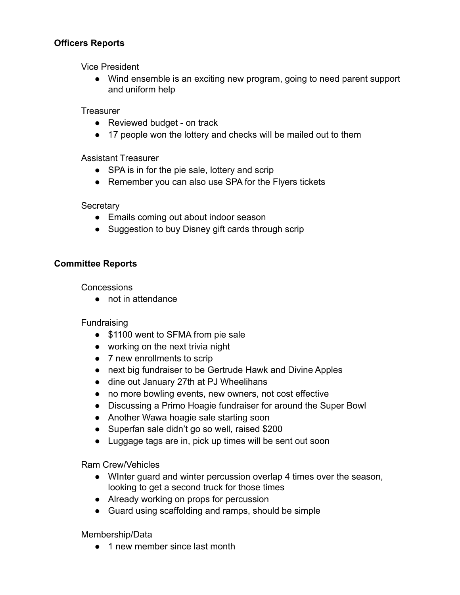## **Officers Reports**

Vice President

● Wind ensemble is an exciting new program, going to need parent support and uniform help

**Treasurer** 

- Reviewed budget on track
- 17 people won the lottery and checks will be mailed out to them

Assistant Treasurer

- SPA is in for the pie sale, lottery and scrip
- Remember you can also use SPA for the Flyers tickets

#### **Secretary**

- Emails coming out about indoor season
- Suggestion to buy Disney gift cards through scrip

## **Committee Reports**

Concessions

● not in attendance

**Fundraising** 

- \$1100 went to SFMA from pie sale
- working on the next trivia night
- 7 new enrollments to scrip
- next big fundraiser to be Gertrude Hawk and Divine Apples
- dine out January 27th at PJ Wheelihans
- no more bowling events, new owners, not cost effective
- Discussing a Primo Hoagie fundraiser for around the Super Bowl
- Another Wawa hoagie sale starting soon
- Superfan sale didn't go so well, raised \$200
- Luggage tags are in, pick up times will be sent out soon

Ram Crew/Vehicles

- WInter guard and winter percussion overlap 4 times over the season, looking to get a second truck for those times
- Already working on props for percussion
- Guard using scaffolding and ramps, should be simple

Membership/Data

● 1 new member since last month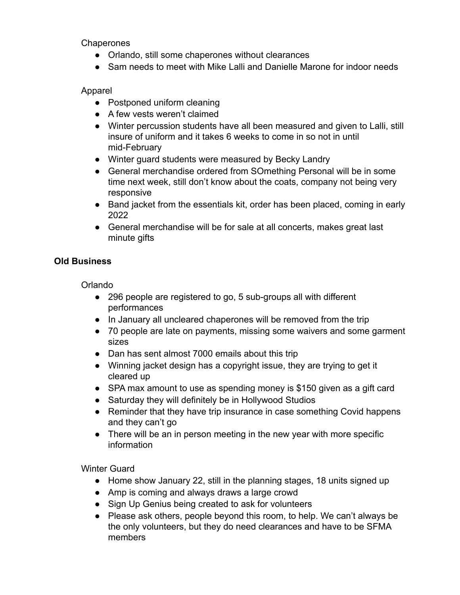**Chaperones** 

- Orlando, still some chaperones without clearances
- Sam needs to meet with Mike Lalli and Danielle Marone for indoor needs

## Apparel

- Postponed uniform cleaning
- A few vests weren't claimed
- Winter percussion students have all been measured and given to Lalli, still insure of uniform and it takes 6 weeks to come in so not in until mid-February
- Winter guard students were measured by Becky Landry
- General merchandise ordered from SOmething Personal will be in some time next week, still don't know about the coats, company not being very responsive
- Band jacket from the essentials kit, order has been placed, coming in early 2022
- General merchandise will be for sale at all concerts, makes great last minute gifts

## **Old Business**

Orlando

- 296 people are registered to go, 5 sub-groups all with different performances
- In January all uncleared chaperones will be removed from the trip
- 70 people are late on payments, missing some waivers and some garment sizes
- Dan has sent almost 7000 emails about this trip
- Winning jacket design has a copyright issue, they are trying to get it cleared up
- SPA max amount to use as spending money is \$150 given as a gift card
- Saturday they will definitely be in Hollywood Studios
- Reminder that they have trip insurance in case something Covid happens and they can't go
- There will be an in person meeting in the new year with more specific information

Winter Guard

- Home show January 22, still in the planning stages, 18 units signed up
- Amp is coming and always draws a large crowd
- Sign Up Genius being created to ask for volunteers
- Please ask others, people beyond this room, to help. We can't always be the only volunteers, but they do need clearances and have to be SFMA members